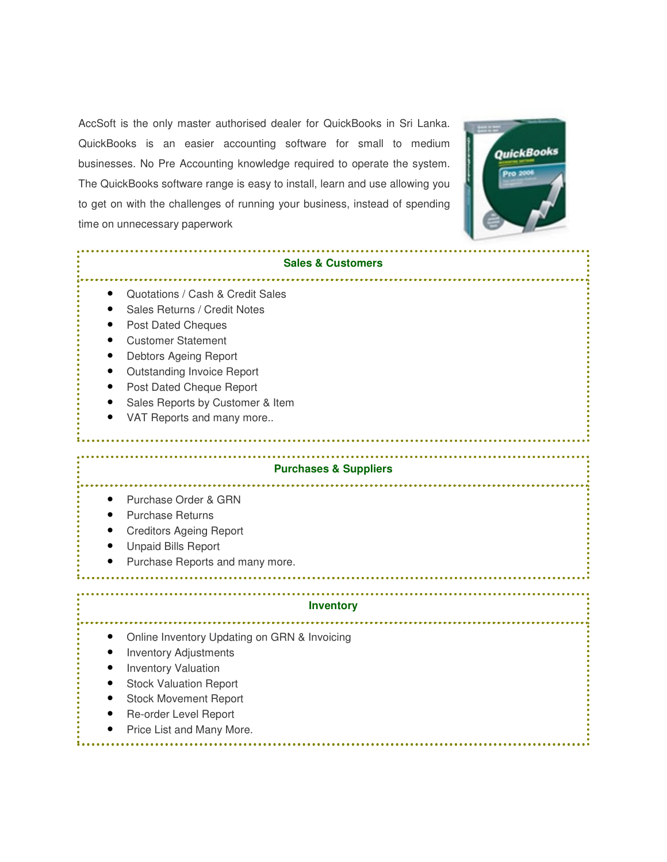AccSoft is the only master authorised dealer for QuickBooks in Sri Lanka. QuickBooks is an easier accounting software for small to medium businesses. No Pre Accounting knowledge required to operate the system. The QuickBooks software range is easy to install, learn and use allowing you to get on with the challenges of running your business, instead of spending time on unnecessary paperwork



| <b>Sales &amp; Customers</b>                                                                                                                                                                                                                                                          |  |
|---------------------------------------------------------------------------------------------------------------------------------------------------------------------------------------------------------------------------------------------------------------------------------------|--|
| Quotations / Cash & Credit Sales<br>Sales Returns / Credit Notes<br><b>Post Dated Cheques</b><br><b>Customer Statement</b><br>Debtors Ageing Report<br><b>Outstanding Invoice Report</b><br>Post Dated Cheque Report<br>Sales Reports by Customer & Item<br>VAT Reports and many more |  |
| <b>Purchases &amp; Suppliers</b>                                                                                                                                                                                                                                                      |  |
| Purchase Order & GRN<br><b>Purchase Returns</b><br><b>Creditors Ageing Report</b><br><b>Unpaid Bills Report</b><br>Purchase Reports and many more.                                                                                                                                    |  |
| <b>Inventory</b>                                                                                                                                                                                                                                                                      |  |
| Online Inventory Updating on GRN & Invoicing<br><b>Inventory Adjustments</b><br><b>Inventory Valuation</b><br><b>Stock Valuation Report</b><br><b>Stock Movement Report</b><br>Re-order Level Report<br>Price List and Many More.                                                     |  |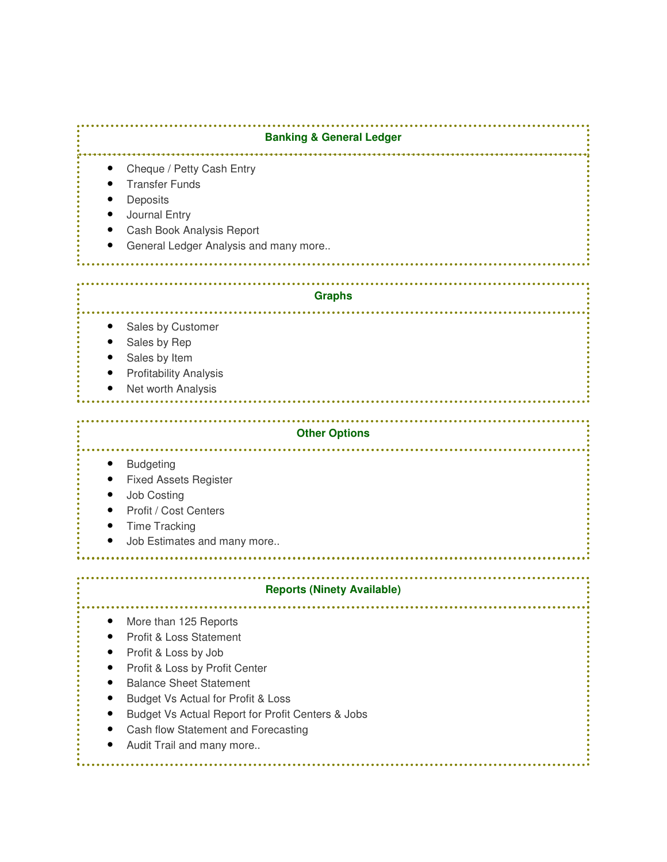**Banking & General Ledger** • Cheque / Petty Cash Entry **Transfer Funds Deposits** • Journal Entry • Cash Book Analysis Report General Ledger Analysis and many more.. **Graphs** والمتمام مالما Sales by Customer Sales by Rep Sales by Item • Profitability Analysis Net worth Analysis **Other Options** . . . . . . . . . . **Budgeting** • Fixed Assets Register • Job Costing Profit / Cost Centers • Time Tracking • Job Estimates and many more.. **Reports (Ninety Available)** • More than 125 Reports • Profit & Loss Statement Profit & Loss by Job • Profit & Loss by Profit Center • Balance Sheet Statement • Budget Vs Actual for Profit & Loss • Budget Vs Actual Report for Profit Centers & Jobs • Cash flow Statement and Forecasting Audit Trail and many more..